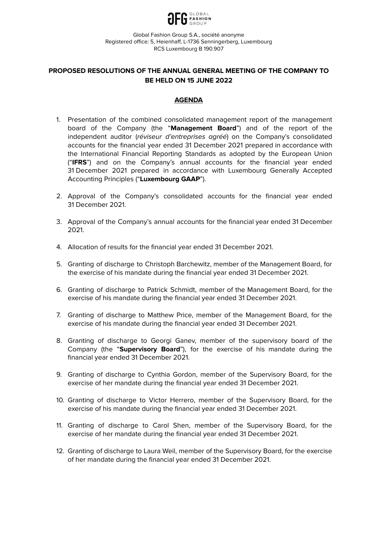

# **PROPOSED RESOLUTIONS OF THE ANNUAL GENERAL MEETING OF THE COMPANY TO BE HELD ON 15 JUNE 2022**

### **AGENDA**

- 1. Presentation of the combined consolidated management report of the management board of the Company (the "**Management Board**") and of the report of the independent auditor (réviseur d'entreprises agréé) on the Company's consolidated accounts for the financial year ended 31 December 2021 prepared in accordance with the International Financial Reporting Standards as adopted by the European Union ("**IFRS**") and on the Company's annual accounts for the financial year ended 31 December 2021 prepared in accordance with Luxembourg Generally Accepted Accounting Principles ("**Luxembourg GAAP**").
- 2. Approval of the Company's consolidated accounts for the financial year ended 31 December 2021.
- 3. Approval of the Company's annual accounts for the financial year ended 31 December 2021.
- 4. Allocation of results for the financial year ended 31 December 2021.
- 5. Granting of discharge to Christoph Barchewitz, member of the Management Board, for the exercise of his mandate during the financial year ended 31 December 2021.
- 6. Granting of discharge to Patrick Schmidt, member of the Management Board, for the exercise of his mandate during the financial year ended 31 December 2021.
- 7. Granting of discharge to Matthew Price, member of the Management Board, for the exercise of his mandate during the financial year ended 31 December 2021.
- 8. Granting of discharge to Georgi Ganev, member of the supervisory board of the Company (the "**Supervisory Board**"), for the exercise of his mandate during the financial year ended 31 December 2021.
- 9. Granting of discharge to Cynthia Gordon, member of the Supervisory Board, for the exercise of her mandate during the financial year ended 31 December 2021.
- 10. Granting of discharge to Victor Herrero, member of the Supervisory Board, for the exercise of his mandate during the financial year ended 31 December 2021.
- 11. Granting of discharge to Carol Shen, member of the Supervisory Board, for the exercise of her mandate during the financial year ended 31 December 2021.
- 12. Granting of discharge to Laura Weil, member of the Supervisory Board, for the exercise of her mandate during the financial year ended 31 December 2021.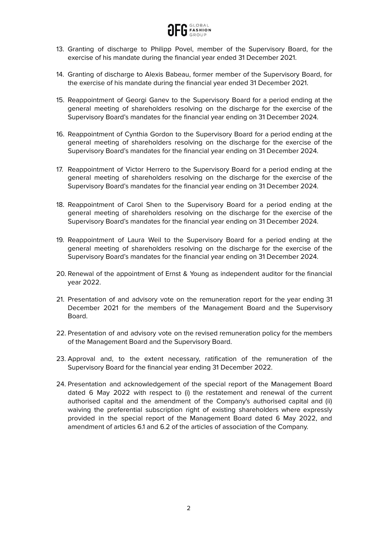

- 13. Granting of discharge to Philipp Povel, member of the Supervisory Board, for the exercise of his mandate during the financial year ended 31 December 2021.
- 14. Granting of discharge to Alexis Babeau, former member of the Supervisory Board, for the exercise of his mandate during the financial year ended 31 December 2021.
- 15. Reappointment of Georgi Ganev to the Supervisory Board for a period ending at the general meeting of shareholders resolving on the discharge for the exercise of the Supervisory Board's mandates for the financial year ending on 31 December 2024.
- 16. Reappointment of Cynthia Gordon to the Supervisory Board for a period ending at the general meeting of shareholders resolving on the discharge for the exercise of the Supervisory Board's mandates for the financial year ending on 31 December 2024.
- 17. Reappointment of Victor Herrero to the Supervisory Board for a period ending at the general meeting of shareholders resolving on the discharge for the exercise of the Supervisory Board's mandates for the financial year ending on 31 December 2024.
- 18. Reappointment of Carol Shen to the Supervisory Board for a period ending at the general meeting of shareholders resolving on the discharge for the exercise of the Supervisory Board's mandates for the financial year ending on 31 December 2024.
- 19. Reappointment of Laura Weil to the Supervisory Board for a period ending at the general meeting of shareholders resolving on the discharge for the exercise of the Supervisory Board's mandates for the financial year ending on 31 December 2024.
- 20. Renewal of the appointment of Ernst & Young as independent auditor for the financial year 2022.
- 21. Presentation of and advisory vote on the remuneration report for the year ending 31 December 2021 for the members of the Management Board and the Supervisory Board.
- 22. Presentation of and advisory vote on the revised remuneration policy for the members of the Management Board and the Supervisory Board.
- 23. Approval and, to the extent necessary, ratification of the remuneration of the Supervisory Board for the financial year ending 31 December 2022.
- 24. Presentation and acknowledgement of the special report of the Management Board dated 6 May 2022 with respect to (i) the restatement and renewal of the current authorised capital and the amendment of the Company's authorised capital and (ii) waiving the preferential subscription right of existing shareholders where expressly provided in the special report of the Management Board dated 6 May 2022, and amendment of articles 6.1 and 6.2 of the articles of association of the Company.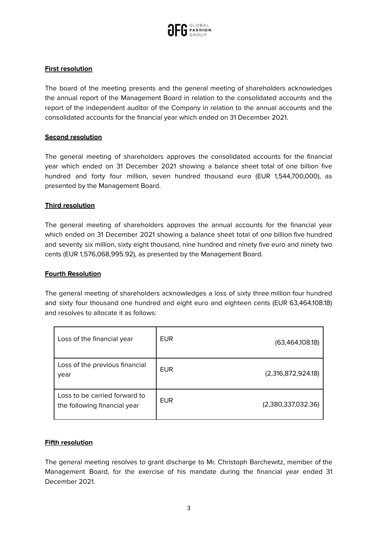

# **First resolution**

The board of the meeting presents and the general meeting of shareholders acknowledges the annual report of the Management Board in relation to the consolidated accounts and the report of the independent auditor of the Company in relation to the annual accounts and the consolidated accounts for the financial year which ended on 31 December 2021.

### **Second resolution**

The general meeting of shareholders approves the consolidated accounts for the financial year which ended on 31 December 2021 showing a balance sheet total of one billion five hundred and forty four million, seven hundred thousand euro (EUR 1,544,700,000), as presented by the Management Board.

### **Third resolution**

The general meeting of shareholders approves the annual accounts for the financial year which ended on 31 December 2021 showing a balance sheet total of one billion five hundred and seventy six million, sixty eight thousand, nine hundred and ninety five euro and ninety two cents (EUR 1,576,068,995.92), as presented by the Management Board.

#### **Fourth Resolution**

The general meeting of shareholders acknowledges a loss of sixty three million four hundred and sixty four thousand one hundred and eight euro and eighteen cents (EUR 63,464,108.18) and resolves to allocate it as follows:

| Loss of the financial year                                    | <b>EUR</b> | (63,464,108.18)    |
|---------------------------------------------------------------|------------|--------------------|
| Loss of the previous financial<br>year                        | <b>EUR</b> | (2,316,872,924.18) |
| Loss to be carried forward to<br>the following financial year | <b>EUR</b> | (2,380,337,032.36) |

#### **Fifth resolution**

The general meeting resolves to grant discharge to Mr. Christoph Barchewitz, member of the Management Board, for the exercise of his mandate during the financial year ended 31 December 2021.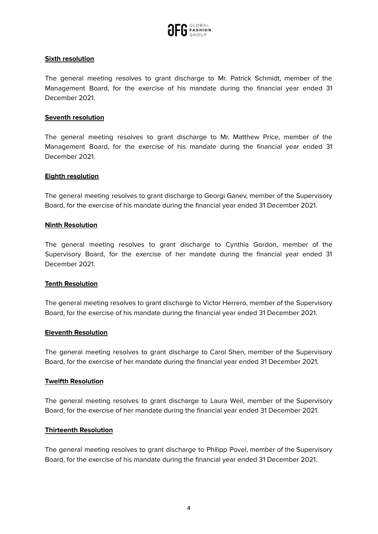

### **Sixth resolution**

The general meeting resolves to grant discharge to Mr. Patrick Schmidt, member of the Management Board, for the exercise of his mandate during the financial year ended 31 December 2021.

#### **Seventh resolution**

The general meeting resolves to grant discharge to Mr. Matthew Price, member of the Management Board, for the exercise of his mandate during the financial year ended 31 December 2021.

#### **Eighth resolution**

The general meeting resolves to grant discharge to Georgi Ganev, member of the Supervisory Board, for the exercise of his mandate during the financial year ended 31 December 2021.

### **Ninth Resolution**

The general meeting resolves to grant discharge to Cynthia Gordon, member of the Supervisory Board, for the exercise of her mandate during the financial year ended 31 December 2021.

#### **Tenth Resolution**

The general meeting resolves to grant discharge to Victor Herrero, member of the Supervisory Board, for the exercise of his mandate during the financial year ended 31 December 2021.

#### **Eleventh Resolution**

The general meeting resolves to grant discharge to Carol Shen, member of the Supervisory Board, for the exercise of her mandate during the financial year ended 31 December 2021.

#### **Twelfth Resolution**

The general meeting resolves to grant discharge to Laura Weil, member of the Supervisory Board, for the exercise of her mandate during the financial year ended 31 December 2021.

#### **Thirteenth Resolution**

The general meeting resolves to grant discharge to Philipp Povel, member of the Supervisory Board, for the exercise of his mandate during the financial year ended 31 December 2021.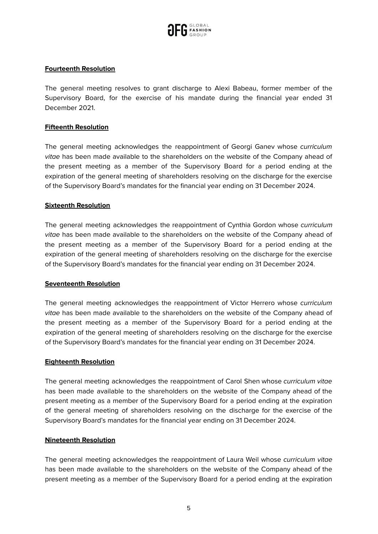

## **Fourteenth Resolution**

The general meeting resolves to grant discharge to Alexi Babeau, former member of the Supervisory Board, for the exercise of his mandate during the financial year ended 31 December 2021.

### **Fifteenth Resolution**

The general meeting acknowledges the reappointment of Georgi Ganev whose curriculum vitae has been made available to the shareholders on the website of the Company ahead of the present meeting as a member of the Supervisory Board for a period ending at the expiration of the general meeting of shareholders resolving on the discharge for the exercise of the Supervisory Board's mandates for the financial year ending on 31 December 2024.

#### **Sixteenth Resolution**

The general meeting acknowledges the reappointment of Cynthia Gordon whose curriculum vitae has been made available to the shareholders on the website of the Company ahead of the present meeting as a member of the Supervisory Board for a period ending at the expiration of the general meeting of shareholders resolving on the discharge for the exercise of the Supervisory Board's mandates for the financial year ending on 31 December 2024.

#### **Seventeenth Resolution**

The general meeting acknowledges the reappointment of Victor Herrero whose *curriculum* vitae has been made available to the shareholders on the website of the Company ahead of the present meeting as a member of the Supervisory Board for a period ending at the expiration of the general meeting of shareholders resolving on the discharge for the exercise of the Supervisory Board's mandates for the financial year ending on 31 December 2024.

#### **Eighteenth Resolution**

The general meeting acknowledges the reappointment of Carol Shen whose curriculum vitae has been made available to the shareholders on the website of the Company ahead of the present meeting as a member of the Supervisory Board for a period ending at the expiration of the general meeting of shareholders resolving on the discharge for the exercise of the Supervisory Board's mandates for the financial year ending on 31 December 2024.

#### **Nineteenth Resolution**

The general meeting acknowledges the reappointment of Laura Weil whose curriculum vitae has been made available to the shareholders on the website of the Company ahead of the present meeting as a member of the Supervisory Board for a period ending at the expiration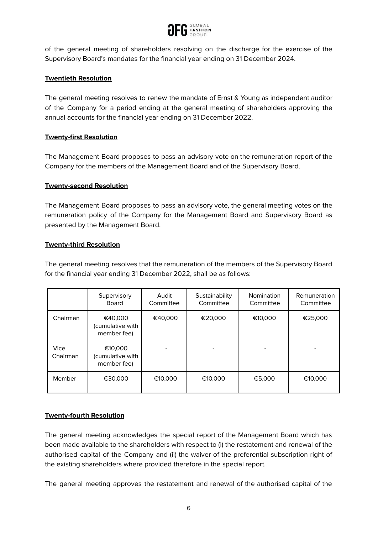

of the general meeting of shareholders resolving on the discharge for the exercise of the Supervisory Board's mandates for the financial year ending on 31 December 2024.

# **Twentieth Resolution**

The general meeting resolves to renew the mandate of Ernst & Young as independent auditor of the Company for a period ending at the general meeting of shareholders approving the annual accounts for the financial year ending on 31 December 2022.

## **Twenty-first Resolution**

The Management Board proposes to pass an advisory vote on the remuneration report of the Company for the members of the Management Board and of the Supervisory Board.

### **Twenty-second Resolution**

The Management Board proposes to pass an advisory vote, the general meeting votes on the remuneration policy of the Company for the Management Board and Supervisory Board as presented by the Management Board.

### **Twenty-third Resolution**

The general meeting resolves that the remuneration of the members of the Supervisory Board for the financial year ending 31 December 2022, shall be as follows:

|                  | Supervisory<br>Board                       | Audit<br>Committee | Sustainability<br>Committee | Nomination<br>Committee | Remuneration<br>Committee |
|------------------|--------------------------------------------|--------------------|-----------------------------|-------------------------|---------------------------|
| Chairman         | €40,000<br>(cumulative with<br>member fee) | €40,000            | €20,000                     | €10,000                 | €25,000                   |
| Vice<br>Chairman | €10,000<br>(cumulative with<br>member fee) |                    |                             |                         |                           |
| Member           | €30,000                                    | €10,000            | €10,000                     | €5,000                  | €10,000                   |

## **Twenty-fourth Resolution**

The general meeting acknowledges the special report of the Management Board which has been made available to the shareholders with respect to (i) the restatement and renewal of the authorised capital of the Company and (ii) the waiver of the preferential subscription right of the existing shareholders where provided therefore in the special report.

The general meeting approves the restatement and renewal of the authorised capital of the